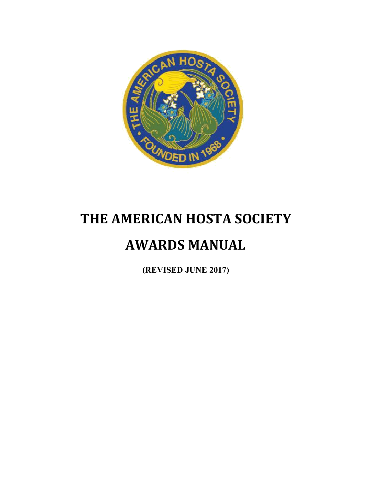

# **THE AMERICAN HOSTA SOCIETY**

## **AWARDS MANUAL**

**(REVISED JUNE 2017)**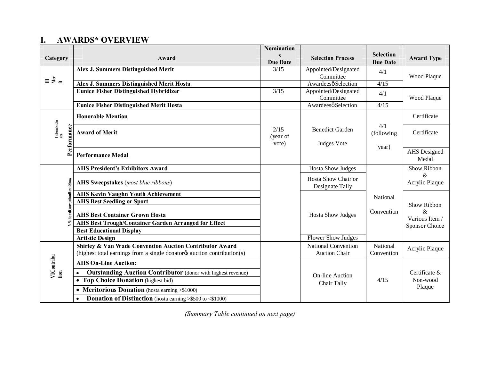## **I. AWARDS\* OVERVIEW**

| Category                                   | Award                                                                                                                              | <b>Nomination</b><br><b>Due Date</b> | <b>Selection Process</b>                    | <b>Selection</b><br><b>Due Date</b> | <b>Award Type</b>         |
|--------------------------------------------|------------------------------------------------------------------------------------------------------------------------------------|--------------------------------------|---------------------------------------------|-------------------------------------|---------------------------|
| $\equiv \frac{1}{2}$ $\pm$                 | Alex J. Summers Distinguished Merit                                                                                                | 3/15                                 | Appointed/Designated<br>Committee           | 4/1                                 | Wood Plaque               |
|                                            | Alex J. Summers Distinguished Merit Hosta                                                                                          |                                      | Awardeesø Selection                         | 4/15                                |                           |
|                                            | <b>Eunice Fisher Distinguished Hybridizer</b>                                                                                      | 3/15                                 | Appointed/Designated<br>Committee           | 4/1                                 | Wood Plaque               |
|                                            | <b>Eunice Fisher Distinguished Merit Hosta</b>                                                                                     |                                      | Awardeesø Selection                         | 4/15                                |                           |
|                                            | <b>Honorable Mention</b>                                                                                                           |                                      |                                             |                                     | Certificate               |
| <b>IVBenedictGar</b><br>den<br>Performance | <b>Award of Merit</b>                                                                                                              | 2/15<br>(year of                     | <b>Benedict Garden</b>                      | 4/1<br>(following                   | Certificate               |
|                                            |                                                                                                                                    | vote)                                | Judges Vote                                 |                                     |                           |
|                                            | <b>Performance Medal</b>                                                                                                           |                                      |                                             | year)                               | AHS Designed<br>Medal     |
|                                            | <b>AHS President's Exhibitors Award</b>                                                                                            |                                      | <b>Hosta Show Judges</b>                    |                                     | Show Ribbon               |
|                                            | <b>AHS Sweepstakes</b> (most blue ribbons)                                                                                         |                                      | Hosta Show Chair or<br>Designate Tally      |                                     | $\&$<br>Acrylic Plaque    |
|                                            | <b>AHS Kevin Vaughn Youth Achievement</b>                                                                                          |                                      |                                             | National                            |                           |
|                                            | <b>AHS Best Seedling or Sport</b>                                                                                                  |                                      |                                             |                                     | Show Ribbon               |
| VNational Convention HostaShov             | <b>AHS Best Container Grown Hosta</b><br>AHS Best Trough/Container Garden Arranged for Effect                                      |                                      | <b>Hosta Show Judges</b>                    | Convention                          | &<br>Various Item /       |
|                                            | <b>Best Educational Display</b>                                                                                                    |                                      |                                             |                                     | Sponsor Choice            |
|                                            | <b>Artistic Design</b>                                                                                                             |                                      | <b>Flower Show Judges</b>                   |                                     |                           |
|                                            | Shirley & Van Wade Convention Auction Contributor Award<br>(highest total earnings from a single donatorys auction contribution(s) |                                      | National Convention<br><b>Auction Chair</b> | National<br>Convention              | Acrylic Plaque            |
| VIContribu<br>tion                         | <b>AHS On-Line Auction:</b>                                                                                                        |                                      |                                             |                                     |                           |
|                                            | <b>Outstanding Auction Contributor</b> (donor with highest revenue)<br>• Top Choice Donation (highest bid)                         |                                      | <b>On-line Auction</b><br>Chair Tally       | 4/15                                | Certificate &<br>Non-wood |
|                                            | • Meritorious Donation (hosta earning >\$1000)                                                                                     |                                      |                                             |                                     | Plaque                    |
|                                            | <b>Donation of Distinction</b> (hosta earning >\$500 to <\$1000)                                                                   |                                      |                                             |                                     |                           |

*(Summary Table continued on next page)*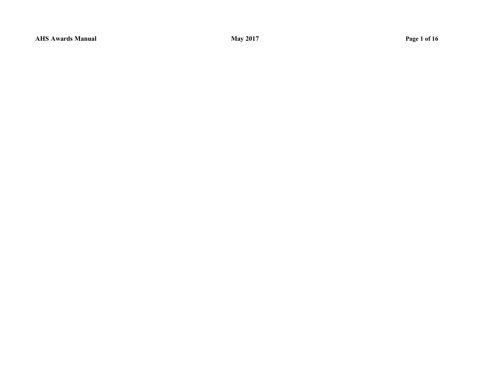**AHS Awards Manual May 2017 Page 1 of 16**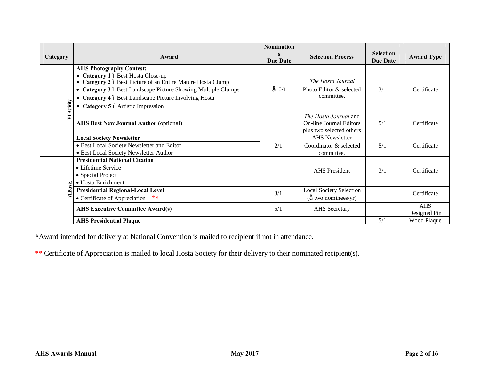| Category    | Award                                                                                                                                                                                                                                                                                                | <b>Nomination</b><br><b>Due Date</b> | <b>Selection Process</b>                                                            | <b>Selection</b><br><b>Due Date</b> | <b>Award Type</b>          |
|-------------|------------------------------------------------------------------------------------------------------------------------------------------------------------------------------------------------------------------------------------------------------------------------------------------------------|--------------------------------------|-------------------------------------------------------------------------------------|-------------------------------------|----------------------------|
| VIIActivity | <b>AHS Photography Contest:</b><br>• Category 1 ó Best Hosta Close-up<br>• Category 2 ó Best Picture of an Entire Mature Hosta Clump<br>• Category 3 ó Best Landscape Picture Showing Multiple Clumps<br>• Category 4 ó Best Landscape Picture Involving Hosta<br>• Category 5 ó Artistic Impression | $\acute{\rm e}$ 10/1                 | The Hosta Journal<br>Photo Editor & selected<br>committee.                          | 3/1                                 | Certificate                |
|             | <b>AHS Best New Journal Author (optional)</b>                                                                                                                                                                                                                                                        |                                      | <i>The Hosta Journal</i> and<br>On-line Journal Editors<br>plus two selected others | 5/1                                 | Certificate                |
|             | <b>Local Society Newsletter</b><br>· Best Local Society Newsletter and Editor<br>• Best Local Society Newsletter Author                                                                                                                                                                              | 2/1                                  | <b>AHS</b> Newsletter<br>Coordinator & selected<br>committee.                       | 5/1                                 | Certificate                |
|             | <b>Presidential National Citation</b><br>• Lifetime Service<br>• Special Project<br>• Hosta Enrichment                                                                                                                                                                                               |                                      | <b>AHS</b> President                                                                | 3/1                                 | Certificate                |
|             | <b>Presidential Regional-Local Level</b><br>$**$<br>• Certificate of Appreciation                                                                                                                                                                                                                    | 3/1                                  | <b>Local Society Selection</b><br>$($ é two nominees/yr $)$                         |                                     | Certificate                |
|             | <b>AHS Executive Committee Award(s)</b>                                                                                                                                                                                                                                                              | 5/1                                  | AHS Secretary                                                                       |                                     | <b>AHS</b><br>Designed Pin |
|             | <b>AHS Presidential Plaque</b>                                                                                                                                                                                                                                                                       |                                      |                                                                                     | 5/1                                 | Wood Plaque                |

**\***Award intended for delivery at National Convention is mailed to recipient if not in attendance.

\*\* Certificate of Appreciation is mailed to local Hosta Society for their delivery to their nominated recipient(s).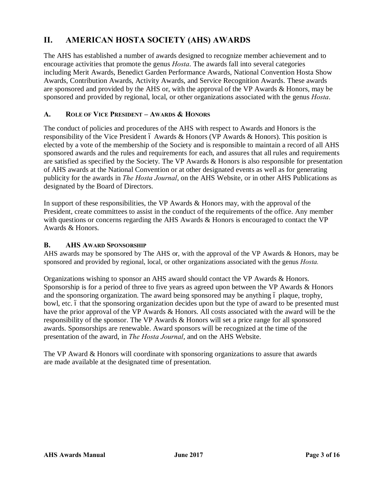## **II. AMERICAN HOSTA SOCIETY (AHS) AWARDS**

The AHS has established a number of awards designed to recognize member achievement and to encourage activities that promote the genus *Hosta*. The awards fall into several categories including Merit Awards, Benedict Garden Performance Awards, National Convention Hosta Show Awards, Contribution Awards, Activity Awards, and Service Recognition Awards. These awards are sponsored and provided by the AHS or, with the approval of the VP Awards & Honors, may be sponsored and provided by regional, local, or other organizations associated with the genus *Hosta*.

#### **A. ROLE OF VICE PRESIDENT – AWARDS & HONORS**

The conduct of policies and procedures of the AHS with respect to Awards and Honors is the responsibility of the Vice President 6 Awards & Honors (VP Awards & Honors). This position is elected by a vote of the membership of the Society and is responsible to maintain a record of all AHS sponsored awards and the rules and requirements for each, and assures that all rules and requirements are satisfied as specified by the Society. The VP Awards & Honors is also responsible for presentation of AHS awards at the National Convention or at other designated events as well as for generating publicity for the awards in *The Hosta Journal*, on the AHS Website, or in other AHS Publications as designated by the Board of Directors.

In support of these responsibilities, the VP Awards & Honors may, with the approval of the President, create committees to assist in the conduct of the requirements of the office. Any member with questions or concerns regarding the AHS Awards & Honors is encouraged to contact the VP Awards & Honors.

#### **B. AHS AWARD SPONSORSHIP**

AHS awards may be sponsored by The AHS or, with the approval of the VP Awards & Honors, may be sponsored and provided by regional, local, or other organizations associated with the genus *Hosta.*

Organizations wishing to sponsor an AHS award should contact the VP Awards & Honors. Sponsorship is for a period of three to five years as agreed upon between the VP Awards & Honors and the sponsoring organization. The award being sponsored may be anything 6 plaque, trophy, bowl, etc. 6 that the sponsoring organization decides upon but the type of award to be presented must have the prior approval of the VP Awards & Honors. All costs associated with the award will be the responsibility of the sponsor. The VP Awards & Honors will set a price range for all sponsored awards. Sponsorships are renewable. Award sponsors will be recognized at the time of the presentation of the award, in *The Hosta Journal*, and on the AHS Website.

The VP Award & Honors will coordinate with sponsoring organizations to assure that awards are made available at the designated time of presentation.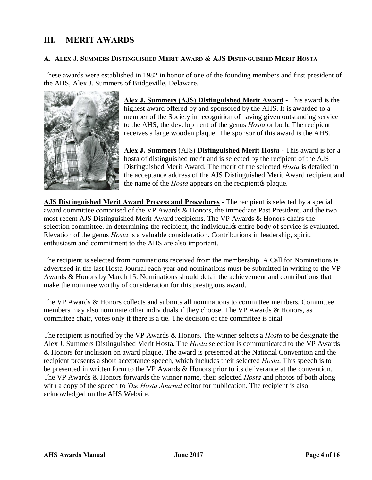## **III. MERIT AWARDS**

#### **A. ALEX J. SUMMERS DISTINGUISHED MERIT AWARD & AJS DISTINGUISHED MERIT HOSTA**

These awards were established in 1982 in honor of one of the founding members and first president of the AHS, Alex J. Summers of Bridgeville, Delaware.



**Alex J. Summers (AJS) Distinguished Merit Award** - This award is the highest award offered by and sponsored by the AHS. It is awarded to a member of the Society in recognition of having given outstanding service to the AHS, the development of the genus *Hosta* or both. The recipient receives a large wooden plaque. The sponsor of this award is the AHS.

**Alex J. Summers** (AJS) **Distinguished Merit Hosta** - This award is for a hosta of distinguished merit and is selected by the recipient of the AJS Distinguished Merit Award. The merit of the selected *Hosta* is detailed in the acceptance address of the AJS Distinguished Merit Award recipient and the name of the *Hosta* appears on the recipient<sub>he</sub> plaque.

**AJS Distinguished Merit Award Process and Procedures** - The recipient is selected by a special award committee comprised of the VP Awards & Honors, the immediate Past President, and the two most recent AJS Distinguished Merit Award recipients. The VP Awards & Honors chairs the selection committee. In determining the recipient, the individual<sub>*(§*</sub> entire body of service is evaluated. Elevation of the genus *Hosta* is a valuable consideration. Contributions in leadership, spirit, enthusiasm and commitment to the AHS are also important.

The recipient is selected from nominations received from the membership. A Call for Nominations is advertised in the last Hosta Journal each year and nominations must be submitted in writing to the VP Awards & Honors by March 15. Nominations should detail the achievement and contributions that make the nominee worthy of consideration for this prestigious award.

The VP Awards & Honors collects and submits all nominations to committee members. Committee members may also nominate other individuals if they choose. The VP Awards & Honors, as committee chair, votes only if there is a tie. The decision of the committee is final.

The recipient is notified by the VP Awards & Honors. The winner selects a *Hosta* to be designate the Alex J. Summers Distinguished Merit Hosta. The *Hosta* selection is communicated to the VP Awards & Honors for inclusion on award plaque. The award is presented at the National Convention and the recipient presents a short acceptance speech, which includes their selected *Hosta*. This speech is to be presented in written form to the VP Awards & Honors prior to its deliverance at the convention. The VP Awards & Honors forwards the winner name, their selected *Hosta* and photos of both along with a copy of the speech to *The Hosta Journal* editor for publication. The recipient is also acknowledged on the AHS Website.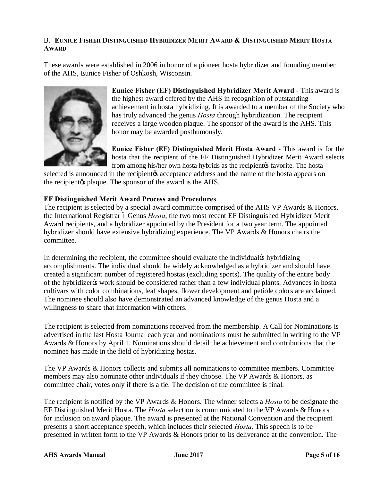#### B. **EUNICE FISHER DISTINGUISHED HYBRIDIZER MERIT AWARD & DISTINGUISHED MERIT HOSTA AWARD**

These awards were established in 2006 in honor of a pioneer hosta hybridizer and founding member of the AHS, Eunice Fisher of Oshkosh, Wisconsin.



**Eunice Fisher (EF) Distinguished Hybridizer Merit Award** - This award is the highest award offered by the AHS in recognition of outstanding achievement in hosta hybridizing. It is awarded to a member of the Society who has truly advanced the genus *Hosta* through hybridization. The recipient receives a large wooden plaque. The sponsor of the award is the AHS. This honor may be awarded posthumously.

**Eunice Fisher (EF) Distinguished Merit Hosta Award** - This award is for the hosta that the recipient of the EF Distinguished Hybridizer Merit Award selects from among his/her own hosta hybrids as the recipient to favorite. The hosta

selected is announced in the recipient to acceptance address and the name of the hosta appears on the recipient is plaque. The sponsor of the award is the AHS.

#### **EF Distinguished Merit Award Process and Procedures**

The recipient is selected by a special award committee comprised of the AHS VP Awards & Honors, the International Registrar 6 Genus *Hosta*, the two most recent EF Distinguished Hybridizer Merit Award recipients, and a hybridizer appointed by the President for a two year term. The appointed hybridizer should have extensive hybridizing experience. The VP Awards & Honors chairs the committee.

In determining the recipient, the committee should evaluate the individual<sub>K</sub> hybridizing accomplishments. The individual should be widely acknowledged as a hybridizer and should have created a significant number of registered hostas (excluding sports). The quality of the entire body of the hybridizer twork should be considered rather than a few individual plants. Advances in hosta cultivars with color combinations, leaf shapes, flower development and petiole colors are acclaimed. The nominee should also have demonstrated an advanced knowledge of the genus Hosta and a willingness to share that information with others.

The recipient is selected from nominations received from the membership. A Call for Nominations is advertised in the last Hosta Journal each year and nominations must be submitted in writing to the VP Awards & Honors by April 1. Nominations should detail the achievement and contributions that the nominee has made in the field of hybridizing hostas.

The VP Awards & Honors collects and submits all nominations to committee members. Committee members may also nominate other individuals if they choose. The VP Awards & Honors, as committee chair, votes only if there is a tie. The decision of the committee is final.

The recipient is notified by the VP Awards & Honors. The winner selects a *Hosta* to be designate the EF Distinguished Merit Hosta. The *Hosta* selection is communicated to the VP Awards & Honors for inclusion on award plaque. The award is presented at the National Convention and the recipient presents a short acceptance speech, which includes their selected *Hosta*. This speech is to be presented in written form to the VP Awards & Honors prior to its deliverance at the convention. The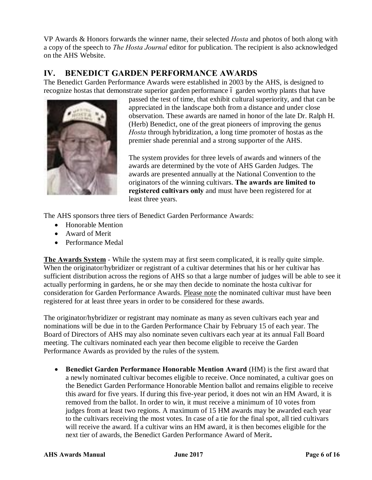VP Awards & Honors forwards the winner name, their selected *Hosta* and photos of both along with a copy of the speech to *The Hosta Journal* editor for publication. The recipient is also acknowledged on the AHS Website.

## **IV. BENEDICT GARDEN PERFORMANCE AWARDS**

The Benedict Garden Performance Awards were established in 2003 by the AHS, is designed to recognize hostas that demonstrate superior garden performance 6 garden worthy plants that have



passed the test of time, that exhibit cultural superiority, and that can be appreciated in the landscape both from a distance and under close observation. These awards are named in honor of the late Dr. Ralph H. (Herb) Benedict, one of the great pioneers of improving the genus *Hosta* through hybridization, a long time promoter of hostas as the premier shade perennial and a strong supporter of the AHS.

The system provides for three levels of awards and winners of the awards are determined by the vote of AHS Garden Judges. The awards are presented annually at the National Convention to the originators of the winning cultivars. **The awards are limited to registered cultivars only** and must have been registered for at least three years.

The AHS sponsors three tiers of Benedict Garden Performance Awards:

- Honorable Mention
- · Award of Merit
- Performance Medal

**The Awards System** - While the system may at first seem complicated, it is really quite simple. When the originator/hybridizer or registrant of a cultivar determines that his or her cultivar has sufficient distribution across the regions of AHS so that a large number of judges will be able to see it actually performing in gardens, he or she may then decide to nominate the hosta cultivar for consideration for Garden Performance Awards. Please note the nominated cultivar must have been registered for at least three years in order to be considered for these awards.

The originator/hybridizer or registrant may nominate as many as seven cultivars each year and nominations will be due in to the Garden Performance Chair by February 15 of each year. The Board of Directors of AHS may also nominate seven cultivars each year at its annual Fall Board meeting. The cultivars nominated each year then become eligible to receive the Garden Performance Awards as provided by the rules of the system.

· **Benedict Garden Performance Honorable Mention Award** (HM) is the first award that a newly nominated cultivar becomes eligible to receive. Once nominated, a cultivar goes on the Benedict Garden Performance Honorable Mention ballot and remains eligible to receive this award for five years. If during this five-year period, it does not win an HM Award, it is removed from the ballot. In order to win, it must receive a minimum of 10 votes from judges from at least two regions. A maximum of 15 HM awards may be awarded each year to the cultivars receiving the most votes. In case of a tie for the final spot, all tied cultivars will receive the award. If a cultivar wins an HM award, it is then becomes eligible for the next tier of awards, the Benedict Garden Performance Award of Merit**.**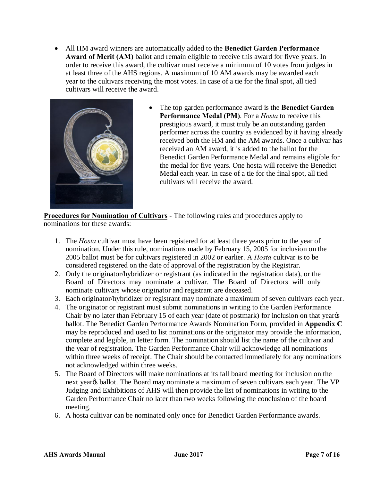· All HM award winners are automatically added to the **Benedict Garden Performance Award of Merit (AM)** ballot and remain eligible to receive this award for fivve years. In order to receive this award, the cultivar must receive a minimum of 10 votes from judges in at least three of the AHS regions. A maximum of 10 AM awards may be awarded each year to the cultivars receiving the most votes. In case of a tie for the final spot, all tied cultivars will receive the award.



· The top garden performance award is the **Benedict Garden Performance Medal (PM)**. For a *Hosta* to receive this prestigious award, it must truly be an outstanding garden performer across the country as evidenced by it having already received both the HM and the AM awards. Once a cultivar has received an AM award, it is added to the ballot for the Benedict Garden Performance Medal and remains eligible for the medal for five years. One hosta will receive the Benedict Medal each year. In case of a tie for the final spot, all tied cultivars will receive the award.

**Procedures for Nomination of Cultivars** - The following rules and procedures apply to nominations for these awards:

- 1. The *Hosta* cultivar must have been registered for at least three years prior to the year of nomination. Under this rule, nominations made by February 15, 2005 for inclusion on the 2005 ballot must be for cultivars registered in 2002 or earlier. A *Hosta* cultivar is to be considered registered on the date of approval of the registration by the Registrar.
- 2. Only the originator/hybridizer or registrant (as indicated in the registration data), or the Board of Directors may nominate a cultivar. The Board of Directors will only nominate cultivars whose originator and registrant are deceased.
- 3. Each originator/hybridizer or registrant may nominate a maximum of seven cultivars each year.
- 4. The originator or registrant must submit nominations in writing to the Garden Performance Chair by no later than February 15 of each year (date of postmark) for inclusion on that yeargs ballot. The Benedict Garden Performance Awards Nomination Form, provided in **Appendix C** may be reproduced and used to list nominations or the originator may provide the information, complete and legible, in letter form. The nomination should list the name of the cultivar and the year of registration. The Garden Performance Chair will acknowledge all nominations within three weeks of receipt. The Chair should be contacted immediately for any nominations not acknowledged within three weeks.
- 5. The Board of Directors will make nominations at its fall board meeting for inclusion on the next year<sub>%</sub> ballot. The Board may nominate a maximum of seven cultivars each year. The VP Judging and Exhibitions of AHS will then provide the list of nominations in writing to the Garden Performance Chair no later than two weeks following the conclusion of the board meeting.
- 6. A hosta cultivar can be nominated only once for Benedict Garden Performance awards.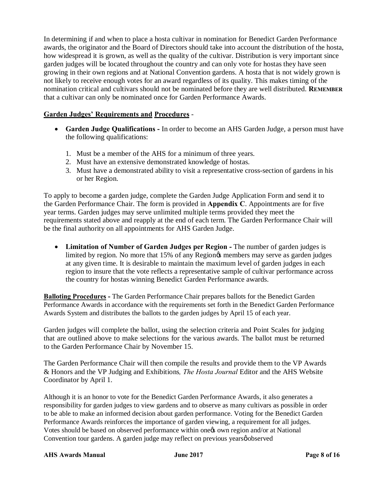In determining if and when to place a hosta cultivar in nomination for Benedict Garden Performance awards, the originator and the Board of Directors should take into account the distribution of the hosta, how widespread it is grown, as well as the quality of the cultivar. Distribution is very important since garden judges will be located throughout the country and can only vote for hostas they have seen growing in their own regions and at National Convention gardens. A hosta that is not widely grown is not likely to receive enough votes for an award regardless of its quality. This makes timing of the nomination critical and cultivars should not be nominated before they are well distributed. **REMEMBER** that a cultivar can only be nominated once for Garden Performance Awards.

#### **Garden Judges' Requirements and Procedures** -

- · **Garden Judge Qualifications -** In order to become an AHS Garden Judge, a person must have the following qualifications:
	- 1. Must be a member of the AHS for a minimum of three years.
	- 2. Must have an extensive demonstrated knowledge of hostas.
	- 3. Must have a demonstrated ability to visit a representative cross-section of gardens in his or her Region.

To apply to become a garden judge, complete the Garden Judge Application Form and send it to the Garden Performance Chair. The form is provided in **Appendix C**. Appointments are for five year terms. Garden judges may serve unlimited multiple terms provided they meet the requirements stated above and reapply at the end of each term. The Garden Performance Chair will be the final authority on all appointments for AHS Garden Judge.

· **Limitation of Number of Garden Judges per Region -** The number of garden judges is limited by region. No more that 15% of any Region is members may serve as garden judges at any given time. It is desirable to maintain the maximum level of garden judges in each region to insure that the vote reflects a representative sample of cultivar performance across the country for hostas winning Benedict Garden Performance awards.

**Balloting Procedures -** The Garden Performance Chair prepares ballots for the Benedict Garden Performance Awards in accordance with the requirements set forth in the Benedict Garden Performance Awards System and distributes the ballots to the garden judges by April 15 of each year.

Garden judges will complete the ballot, using the selection criteria and Point Scales for judging that are outlined above to make selections for the various awards. The ballot must be returned to the Garden Performance Chair by November 15.

The Garden Performance Chair will then compile the results and provide them to the VP Awards & Honors and the VP Judging and Exhibitions*, The Hosta Journal* Editor and the AHS Website Coordinator by April 1.

Although it is an honor to vote for the Benedict Garden Performance Awards, it also generates a responsibility for garden judges to view gardens and to observe as many cultivars as possible in order to be able to make an informed decision about garden performance. Voting for the Benedict Garden Performance Awards reinforces the importance of garden viewing, a requirement for all judges. Votes should be based on observed performance within one  $\alpha$  own region and/or at National Convention tour gardens. A garden judge may reflect on previous years observed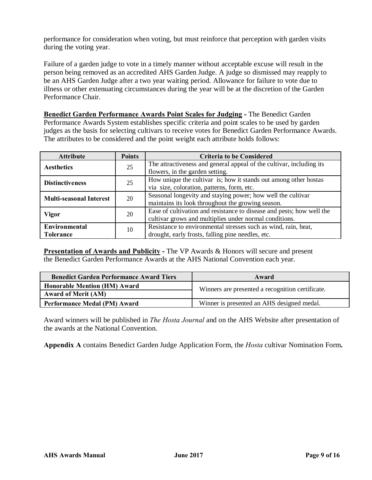performance for consideration when voting, but must reinforce that perception with garden visits during the voting year.

Failure of a garden judge to vote in a timely manner without acceptable excuse will result in the person being removed as an accredited AHS Garden Judge. A judge so dismissed may reapply to be an AHS Garden Judge after a two year waiting period. Allowance for failure to vote due to illness or other extenuating circumstances during the year will be at the discretion of the Garden Performance Chair.

**Benedict Garden Performance Awards Point Scales for Judging -** The Benedict Garden Performance Awards System establishes specific criteria and point scales to be used by garden judges as the basis for selecting cultivars to receive votes for Benedict Garden Performance Awards. The attributes to be considered and the point weight each attribute holds follows:

| <b>Points</b><br><b>Attribute</b> |    | <b>Criteria to be Considered</b>                                      |  |
|-----------------------------------|----|-----------------------------------------------------------------------|--|
| <b>Aesthetics</b>                 | 25 | The attractiveness and general appeal of the cultivar, including its  |  |
|                                   |    | flowers, in the garden setting.                                       |  |
| <b>Distinctiveness</b>            | 25 | How unique the cultivar is; how it stands out among other hostas      |  |
|                                   |    | via size, coloration, patterns, form, etc.                            |  |
| <b>Multi-seasonal Interest</b>    | 20 | Seasonal longevity and staying power; how well the cultivar           |  |
|                                   |    | maintains its look throughout the growing season.                     |  |
| <b>Vigor</b>                      | 20 | Ease of cultivation and resistance to disease and pests; how well the |  |
|                                   |    | cultivar grows and multiplies under normal conditions.                |  |
| <b>Environmental</b><br>10        |    | Resistance to environmental stresses such as wind, rain, heat,        |  |
| <b>Tolerance</b>                  |    | drought, early frosts, falling pine needles, etc.                     |  |

**Presentation of Awards and Publicity** - The VP Awards & Honors will secure and present the Benedict Garden Performance Awards at the AHS National Convention each year.

| <b>Benedict Garden Performance Award Tiers</b> | Award                                            |  |  |
|------------------------------------------------|--------------------------------------------------|--|--|
| <b>Honorable Mention (HM) Award</b>            | Winners are presented a recognition certificate. |  |  |
| <b>Award of Merit (AM)</b>                     |                                                  |  |  |
| <b>Performance Medal (PM) Award</b>            | Winner is presented an AHS designed medal.       |  |  |

Award winners will be published in *The Hosta Journal* and on the AHS Website after presentation of the awards at the National Convention.

**Appendix A** contains Benedict Garden Judge Application Form, the *Hosta* cultivar Nomination Form**.**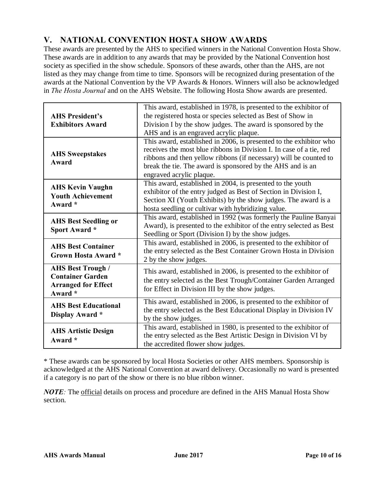## **V. NATIONAL CONVENTION HOSTA SHOW AWARDS**

These awards are presented by the AHS to specified winners in the National Convention Hosta Show. These awards are in addition to any awards that may be provided by the National Convention host society as specified in the show schedule. Sponsors of these awards, other than the AHS, are not listed as they may change from time to time. Sponsors will be recognized during presentation of the awards at the National Convention by the VP Awards & Honors. Winners will also be acknowledged in *The Hosta Journal* and on the AHS Website. The following Hosta Show awards are presented.

| <b>AHS President's</b><br><b>Exhibitors Award</b>                                            | This award, established in 1978, is presented to the exhibitor of<br>the registered hosta or species selected as Best of Show in<br>Division I by the show judges. The award is sponsored by the<br>AHS and is an engraved acrylic plaque.                                                               |
|----------------------------------------------------------------------------------------------|----------------------------------------------------------------------------------------------------------------------------------------------------------------------------------------------------------------------------------------------------------------------------------------------------------|
| <b>AHS Sweepstakes</b><br>Award                                                              | This award, established in 2006, is presented to the exhibitor who<br>receives the most blue ribbons in Division I. In case of a tie, red<br>ribbons and then yellow ribbons (if necessary) will be counted to<br>break the tie. The award is sponsored by the AHS and is an<br>engraved acrylic plaque. |
| <b>AHS Kevin Vaughn</b><br><b>Youth Achievement</b><br>Award *                               | This award, established in 2004, is presented to the youth<br>exhibitor of the entry judged as Best of Section in Division I,<br>Section XI (Youth Exhibits) by the show judges. The award is a<br>hosta seedling or cultivar with hybridizing value.                                                    |
| <b>AHS Best Seedling or</b><br>Sport Award *                                                 | This award, established in 1992 (was formerly the Pauline Banyai<br>Award), is presented to the exhibitor of the entry selected as Best<br>Seedling or Sport (Division I) by the show judges.                                                                                                            |
| <b>AHS Best Container</b><br><b>Grown Hosta Award *</b>                                      | This award, established in 2006, is presented to the exhibitor of<br>the entry selected as the Best Container Grown Hosta in Division<br>2 by the show judges.                                                                                                                                           |
| <b>AHS Best Trough /</b><br><b>Container Garden</b><br><b>Arranged for Effect</b><br>Award * | This award, established in 2006, is presented to the exhibitor of<br>the entry selected as the Best Trough/Container Garden Arranged<br>for Effect in Division III by the show judges.                                                                                                                   |
| <b>AHS Best Educational</b><br>Display Award *                                               | This award, established in 2006, is presented to the exhibitor of<br>the entry selected as the Best Educational Display in Division IV<br>by the show judges.                                                                                                                                            |
| <b>AHS Artistic Design</b><br>Award *                                                        | This award, established in 1980, is presented to the exhibitor of<br>the entry selected as the Best Artistic Design in Division VI by<br>the accredited flower show judges.                                                                                                                              |

\* These awards can be sponsored by local Hosta Societies or other AHS members. Sponsorship is acknowledged at the AHS National Convention at award delivery. Occasionally no ward is presented if a category is no part of the show or there is no blue ribbon winner.

*NOTE*: The official details on process and procedure are defined in the AHS Manual Hosta Show section.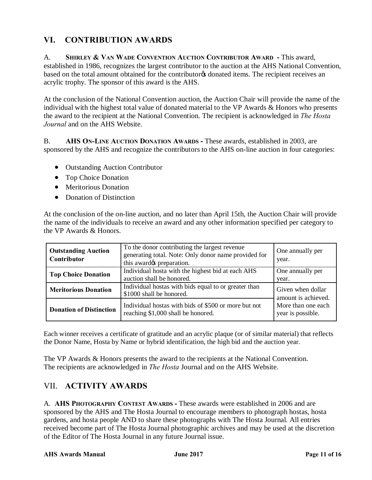## **VI. CONTRIBUTION AWARDS**

#### A. **SHIRLEY & VAN WADE CONVENTION AUCTION CONTRIBUTOR AWARD -** This award,

established in 1986, recognizes the largest contributor to the auction at the AHS National Convention, based on the total amount obtained for the contributor of donated items. The recipient receives an acrylic trophy. The sponsor of this award is the AHS.

At the conclusion of the National Convention auction, the Auction Chair will provide the name of the individual with the highest total value of donated material to the VP Awards & Honors who presents the award to the recipient at the National Convention. The recipient is acknowledged in *The Hosta Journal* and on the AHS Website.

B. **AHS ON-LINE AUCTION DONATION AWARDS -** These awards, established in 2003, are sponsored by the AHS and recognize the contributors to the AHS on-line auction in four categories:

- Outstanding Auction Contributor
- Top Choice Donation
- Meritorious Donation
- Donation of Distinction

At the conclusion of the on-line auction, and no later than April 15th, the Auction Chair will provide the name of the individuals to receive an award and any other information specified per category to the VP Awards & Honors.

| <b>Outstanding Auction</b><br>Contributor                                                                    | To the donor contributing the largest revenue<br>generating total. Note: Only donor name provided for<br>this award the preparation. | One annually per<br>year.                |
|--------------------------------------------------------------------------------------------------------------|--------------------------------------------------------------------------------------------------------------------------------------|------------------------------------------|
| Individual hosta with the highest bid at each AHS<br><b>Top Choice Donation</b><br>auction shall be honored. |                                                                                                                                      | One annually per<br>year.                |
| <b>Meritorious Donation</b>                                                                                  | Individual hostas with bids equal to or greater than<br>\$1000 shall be honored.                                                     | Given when dollar<br>amount is achieved. |
| <b>Donation of Distinction</b>                                                                               | Individual hostas with bids of \$500 or more but not<br>reaching \$1,000 shall be honored.                                           | More than one each<br>year is possible.  |

Each winner receives a certificate of gratitude and an acrylic plaque (or of similar material) that reflects the Donor Name, Hosta by Name or hybrid identification, the high bid and the auction year.

The VP Awards & Honors presents the award to the recipients at the National Convention. The recipients are acknowledged in *The Hosta* Journal and on the AHS Website.

### VII. **ACTIVITY AWARDS**

A. **AHS PHOTOGRAPHY CONTEST AWARDS -** These awards were established in 2006 and are sponsored by the AHS and The Hosta Journal to encourage members to photograph hostas, hosta gardens, and hosta people AND to share these photographs with The Hosta Journal. All entries received become part of The Hosta Journal photographic archives and may be used at the discretion of the Editor of The Hosta Journal in any future Journal issue.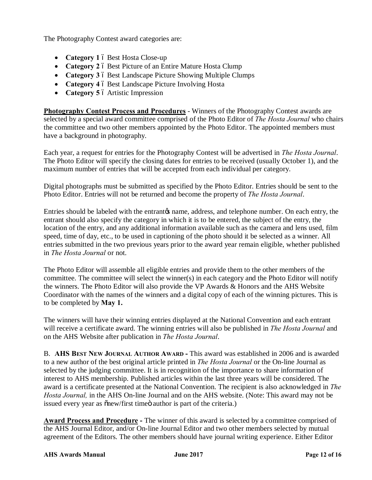The Photography Contest award categories are:

- **Category 1**  $\acute{o}$  Best Hosta Close-up
- Category 2 ó Best Picture of an Entire Mature Hosta Clump
- **Category 3**  $\acute{o}$  Best Landscape Picture Showing Multiple Clumps
- **Category 4** 6 Best Landscape Picture Involving Hosta
- **Category 5**  $\acute{o}$  Artistic Impression

**Photography Contest Process and Procedures** - Winners of the Photography Contest awards are selected by a special award committee comprised of the Photo Editor of *The Hosta Journal* who chairs the committee and two other members appointed by the Photo Editor. The appointed members must have a background in photography.

Each year, a request for entries for the Photography Contest will be advertised in *The Hosta Journal*. The Photo Editor will specify the closing dates for entries to be received (usually October 1), and the maximum number of entries that will be accepted from each individual per category.

Digital photographs must be submitted as specified by the Photo Editor. Entries should be sent to the Photo Editor. Entries will not be returned and become the property of *The Hosta Journal*.

Entries should be labeled with the entrantom anne, address, and telephone number. On each entry, the entrant should also specify the category in which it is to be entered, the subject of the entry, the location of the entry, and any additional information available such as the camera and lens used, film speed, time of day, etc., to be used in captioning of the photo should it be selected as a winner. All entries submitted in the two previous years prior to the award year remain eligible, whether published in *The Hosta Journal* or not.

The Photo Editor will assemble all eligible entries and provide them to the other members of the committee. The committee will select the winner(s) in each category and the Photo Editor will notify the winners. The Photo Editor will also provide the VP Awards & Honors and the AHS Website Coordinator with the names of the winners and a digital copy of each of the winning pictures. This is to be completed by **May 1.**

The winners will have their winning entries displayed at the National Convention and each entrant will receive a certificate award. The winning entries will also be published in *The Hosta Journal* and on the AHS Website after publication in *The Hosta Journal*.

B. **AHS BEST NEW JOURNAL AUTHOR AWARD -** This award was established in 2006 and is awarded to a new author of the best original article printed in *The Hosta Journal* or the On-line Journal as selected by the judging committee. It is in recognition of the importance to share information of interest to AHS membership. Published articles within the last three years will be considered. The award is a certificate presented at the National Convention. The recipient is also acknowledged in *The Hosta Journal,* in the AHS On-line Journal and on the AHS website. (Note: This award may not be issued every year as  $\delta$ new/first time $\ddot{o}$  author is part of the criteria.)

**Award Process and Procedure -** The winner of this award is selected by a committee comprised of the AHS Journal Editor, and/or On-line Journal Editor and two other members selected by mutual agreement of the Editors. The other members should have journal writing experience. Either Editor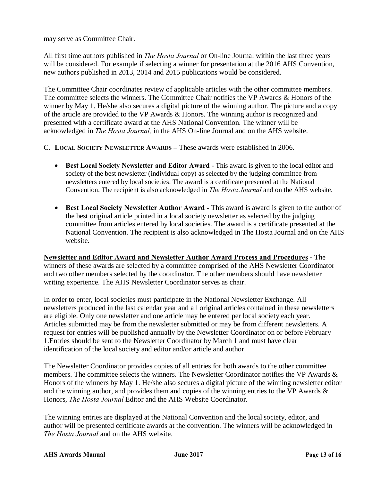may serve as Committee Chair.

All first time authors published in *The Hosta Journal* or On-line Journal within the last three years will be considered. For example if selecting a winner for presentation at the 2016 AHS Convention, new authors published in 2013, 2014 and 2015 publications would be considered.

The Committee Chair coordinates review of applicable articles with the other committee members. The committee selects the winners. The Committee Chair notifies the VP Awards & Honors of the winner by May 1. He/she also secures a digital picture of the winning author. The picture and a copy of the article are provided to the VP Awards & Honors. The winning author is recognized and presented with a certificate award at the AHS National Convention. The winner will be acknowledged in *The Hosta Journal,* in the AHS On-line Journal and on the AHS website.

- C. **LOCAL SOCIETY NEWSLETTER AWARDS –** These awards were established in 2006.
	- · **Best Local Society Newsletter and Editor Award -** This award is given to the local editor and society of the best newsletter (individual copy) as selected by the judging committee from newsletters entered by local societies. The award is a certificate presented at the National Convention. The recipient is also acknowledged in *The Hosta Journal* and on the AHS website.
	- · **Best Local Society Newsletter Author Award -** This award is award is given to the author of the best original article printed in a local society newsletter as selected by the judging committee from articles entered by local societies. The award is a certificate presented at the National Convention. The recipient is also acknowledged in The Hosta Journal and on the AHS website.

**Newsletter and Editor Award and Newsletter Author Award Process and Procedures -** The winners of these awards are selected by a committee comprised of the AHS Newsletter Coordinator and two other members selected by the coordinator. The other members should have newsletter writing experience. The AHS Newsletter Coordinator serves as chair.

In order to enter, local societies must participate in the National Newsletter Exchange. All newsletters produced in the last calendar year and all original articles contained in these newsletters are eligible. Only one newsletter and one article may be entered per local society each year. Articles submitted may be from the newsletter submitted or may be from different newsletters. A request for entries will be published annually by the Newsletter Coordinator on or before February 1.Entries should be sent to the Newsletter Coordinator by March 1 and must have clear identification of the local society and editor and/or article and author.

The Newsletter Coordinator provides copies of all entries for both awards to the other committee members. The committee selects the winners. The Newsletter Coordinator notifies the VP Awards & Honors of the winners by May 1. He/she also secures a digital picture of the winning newsletter editor and the winning author, and provides them and copies of the winning entries to the VP Awards & Honors, *The Hosta Journal* Editor and the AHS Website Coordinator.

The winning entries are displayed at the National Convention and the local society, editor, and author will be presented certificate awards at the convention. The winners will be acknowledged in *The Hosta Journal* and on the AHS website.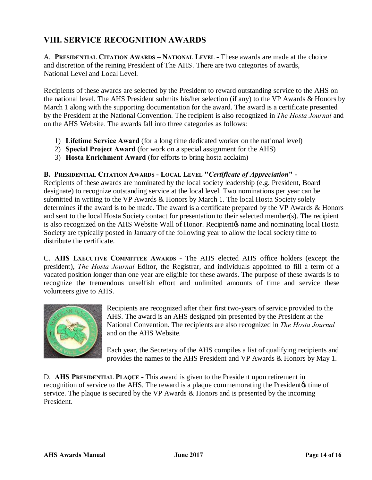## **VIII. SERVICE RECOGNITION AWARDS**

A. **PRESIDENTIAL CITATION AWARDS – NATIONAL LEVEL -** These awards are made at the choice and discretion of the reining President of The AHS. There are two categories of awards, National Level and Local Level.

Recipients of these awards are selected by the President to reward outstanding service to the AHS on the national level. The AHS President submits his/her selection (if any) to the VP Awards & Honors by March 1 along with the supporting documentation for the award. The award is a certificate presented by the President at the National Convention. The recipient is also recognized in *The Hosta Journal* and on the AHS Website*.* The awards fall into three categories as follows:

- 1) **Lifetime Service Award** (for a long time dedicated worker on the national level)
- 2) **Special Project Award** (for work on a special assignment for the AHS)
- 3) **Hosta Enrichment Award** (for efforts to bring hosta acclaim)

#### **B. PRESIDENTIAL CITATION AWARDS - LOCAL LEVEL "***Certificate of Appreciation***" -**

Recipients of these awards are nominated by the local society leadership (e.g. President, Board designate) to recognize outstanding service at the local level. Two nominations per year can be submitted in writing to the VP Awards & Honors by March 1. The local Hosta Society solely determines if the award is to be made. The award is a certificate prepared by the VP Awards & Honors and sent to the local Hosta Society contact for presentation to their selected member(s). The recipient is also recognized on the AHS Website Wall of Honor. Recipient is name and nominating local Hosta Society are typically posted in January of the following year to allow the local society time to distribute the certificate.

C. **AHS EXECUTIVE COMMITTEE AWARDS -** The AHS elected AHS office holders (except the president), *The Hosta Journal* Editor, the Registrar, and individuals appointed to fill a term of a vacated position longer than one year are eligible for these awards. The purpose of these awards is to recognize the tremendous unselfish effort and unlimited amounts of time and service these volunteers give to AHS.



Recipients are recognized after their first two-years of service provided to the AHS. The award is an AHS designed pin presented by the President at the National Convention. The recipients are also recognized in *The Hosta Journal* and on the AHS Website*.*

Each year, the Secretary of the AHS compiles a list of qualifying recipients and provides the names to the AHS President and VP Awards & Honors by May 1.

D. **AHS PRESIDENTIAL PLAQUE -** This award is given to the President upon retirement in recognition of service to the AHS. The reward is a plaque commemorating the President ime of service. The plaque is secured by the VP Awards & Honors and is presented by the incoming President.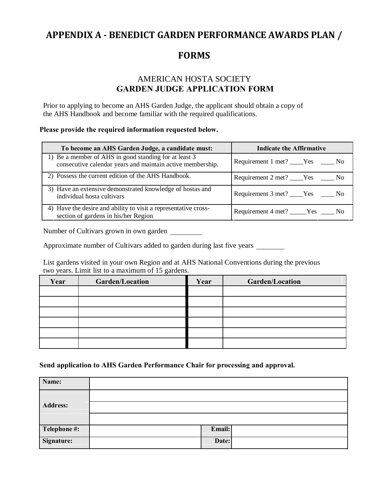## **APPENDIX A - BENEDICT GARDEN PERFORMANCE AWARDS PLAN /**

## **FORMS**

## AMERICAN HOSTA SOCIETY **GARDEN JUDGE APPLICATION FORM**

Prior to applying to become an AHS Garden Judge, the applicant should obtain a copy of the AHS Handbook and become familiar with the required qualifications.

#### **Please provide the required information requested below.**

| To become an AHS Garden Judge, a candidate must:                                                                    | <b>Indicate the Affirmative</b>      |  |  |
|---------------------------------------------------------------------------------------------------------------------|--------------------------------------|--|--|
| 1) Be a member of AHS in good standing for at least 3<br>consecutive calendar years and maintain active membership. | Requirement 1 met? ____Yes _____ No  |  |  |
| 2) Possess the current edition of the AHS Handbook.                                                                 | Requirement 2 met? ____Yes _____ No  |  |  |
| 3) Have an extensive demonstrated knowledge of hostas and<br>individual hosta cultivars                             | Requirement 3 met? ____Yes _____ No  |  |  |
| 4) Have the desire and ability to visit a representative cross-<br>section of gardens in his/her Region             | Requirement 4 met? _____Yes _____ No |  |  |

Number of Cultivars grown in own garden

Approximate number of Cultivars added to garden during last five years

List gardens visited in your own Region and at AHS National Conventions during the previous two years. Limit list to a maximum of 15 gardens.

| Year | <b>Garden/Location</b> | Year | <b>Garden/Location</b> |
|------|------------------------|------|------------------------|
|      |                        |      |                        |
|      |                        |      |                        |
|      |                        |      |                        |
|      |                        |      |                        |
|      |                        |      |                        |
|      |                        |      |                        |

**Send application to AHS Garden Performance Chair for processing and approval.**

| Name:           |        |  |
|-----------------|--------|--|
|                 |        |  |
| <b>Address:</b> |        |  |
|                 |        |  |
| Telephone #:    | Email: |  |
| Signature:      | Date:  |  |